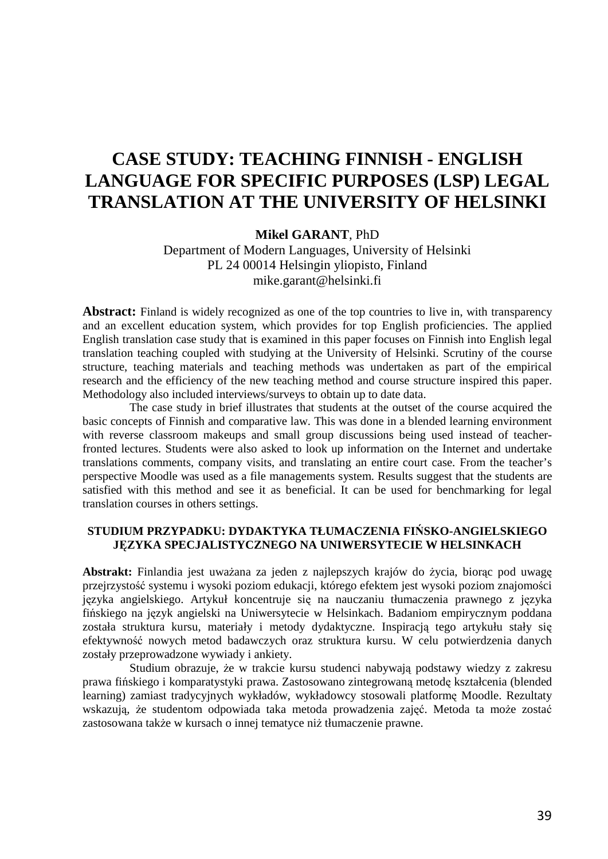# **CASE STUDY: TEACHING FINNISH - ENGLISH LANGUAGE FOR SPECIFIC PURPOSES (LSP) LEGAL TRANSLATION AT THE UNIVERSITY OF HELSINKI**

## **Mikel GARANT**, PhD

Department of Modern Languages, University of Helsinki PL 24 00014 Helsingin yliopisto, Finland mike.garant@helsinki.fi

**Abstract:** Finland is widely recognized as one of the top countries to live in, with transparency and an excellent education system, which provides for top English proficiencies. The applied English translation case study that is examined in this paper focuses on Finnish into English legal translation teaching coupled with studying at the University of Helsinki. Scrutiny of the course structure, teaching materials and teaching methods was undertaken as part of the empirical research and the efficiency of the new teaching method and course structure inspired this paper. Methodology also included interviews/surveys to obtain up to date data.

The case study in brief illustrates that students at the outset of the course acquired the basic concepts of Finnish and comparative law. This was done in a blended learning environment with reverse classroom makeups and small group discussions being used instead of teacherfronted lectures. Students were also asked to look up information on the Internet and undertake translations comments, company visits, and translating an entire court case. From the teacher's perspective Moodle was used as a file managements system. Results suggest that the students are satisfied with this method and see it as beneficial. It can be used for benchmarking for legal translation courses in others settings.

#### **STUDIUM PRZYPADKU: DYDAKTYKA TŁUMACZENIA FIŃSKO-ANGIELSKIEGO JĘZYKA SPECJALISTYCZNEGO NA UNIWERSYTECIE W HELSINKACH**

**Abstrakt:** Finlandia jest uważana za jeden z najlepszych krajów do życia, biorąc pod uwagę przejrzystość systemu i wysoki poziom edukacji, którego efektem jest wysoki poziom znajomości języka angielskiego. Artykuł koncentruje się na nauczaniu tłumaczenia prawnego z języka fińskiego na język angielski na Uniwersytecie w Helsinkach. Badaniom empirycznym poddana została struktura kursu, materiały i metody dydaktyczne. Inspiracją tego artykułu stały się efektywność nowych metod badawczych oraz struktura kursu. W celu potwierdzenia danych zostały przeprowadzone wywiady i ankiety.

Studium obrazuje, że w trakcie kursu studenci nabywają podstawy wiedzy z zakresu prawa fińskiego i komparatystyki prawa. Zastosowano zintegrowaną metodę kształcenia (blended learning) zamiast tradycyjnych wykładów, wykładowcy stosowali platformę Moodle. Rezultaty wskazują, że studentom odpowiada taka metoda prowadzenia zajęć. Metoda ta może zostać zastosowana także w kursach o innej tematyce niż tłumaczenie prawne.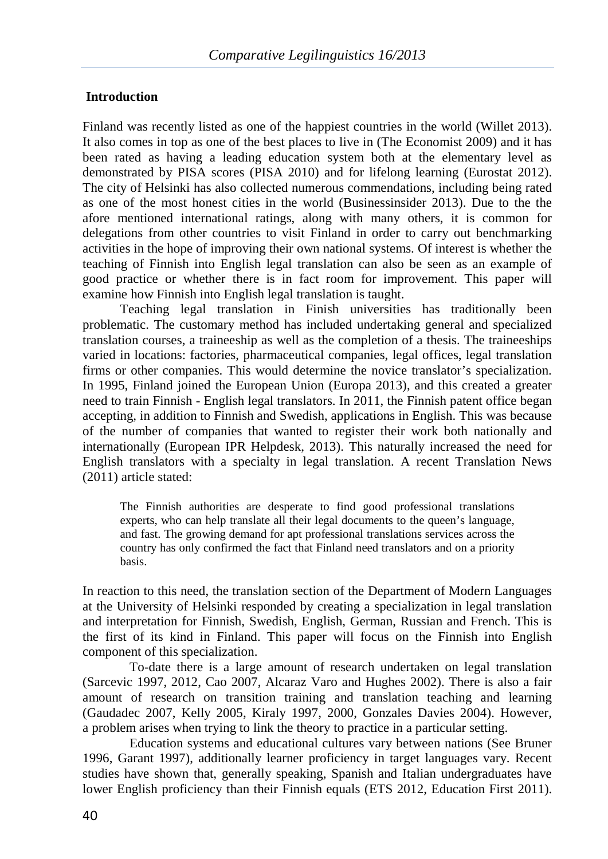# **Introduction**

Finland was recently listed as one of the happiest countries in the world (Willet 2013). It also comes in top as one of the best places to live in (The Economist 2009) and it has been rated as having a leading education system both at the elementary level as demonstrated by PISA scores (PISA 2010) and for lifelong learning (Eurostat 2012). The city of Helsinki has also collected numerous commendations, including being rated as one of the most honest cities in the world (Businessinsider 2013). Due to the the afore mentioned international ratings, along with many others, it is common for delegations from other countries to visit Finland in order to carry out benchmarking activities in the hope of improving their own national systems. Of interest is whether the teaching of Finnish into English legal translation can also be seen as an example of good practice or whether there is in fact room for improvement. This paper will examine how Finnish into English legal translation is taught.

Teaching legal translation in Finish universities has traditionally been problematic. The customary method has included undertaking general and specialized translation courses, a traineeship as well as the completion of a thesis. The traineeships varied in locations: factories, pharmaceutical companies, legal offices, legal translation firms or other companies. This would determine the novice translator's specialization. In 1995, Finland joined the European Union (Europa 2013), and this created a greater need to train Finnish - English legal translators. In 2011, the Finnish patent office began accepting, in addition to Finnish and Swedish, applications in English. This was because of the number of companies that wanted to register their work both nationally and internationally (European IPR Helpdesk, 2013). This naturally increased the need for English translators with a specialty in legal translation. A recent Translation News (2011) article stated:

The Finnish authorities are desperate to find good professional translations experts, who can help translate all their legal documents to the queen's language, and fast. The growing demand for apt professional translations services across the country has only confirmed the fact that Finland need translators and on a priority basis.

In reaction to this need, the translation section of the Department of Modern Languages at the University of Helsinki responded by creating a specialization in legal translation and interpretation for Finnish, Swedish, English, German, Russian and French. This is the first of its kind in Finland. This paper will focus on the Finnish into English component of this specialization.

To-date there is a large amount of research undertaken on legal translation (Sarcevic 1997, 2012, Cao 2007, Alcaraz Varo and Hughes 2002). There is also a fair amount of research on transition training and translation teaching and learning (Gaudadec 2007, Kelly 2005, Kiraly 1997, 2000, Gonzales Davies 2004). However, a problem arises when trying to link the theory to practice in a particular setting.

Education systems and educational cultures vary between nations (See Bruner 1996, Garant 1997), additionally learner proficiency in target languages vary. Recent studies have shown that, generally speaking, Spanish and Italian undergraduates have lower English proficiency than their Finnish equals (ETS 2012, Education First 2011).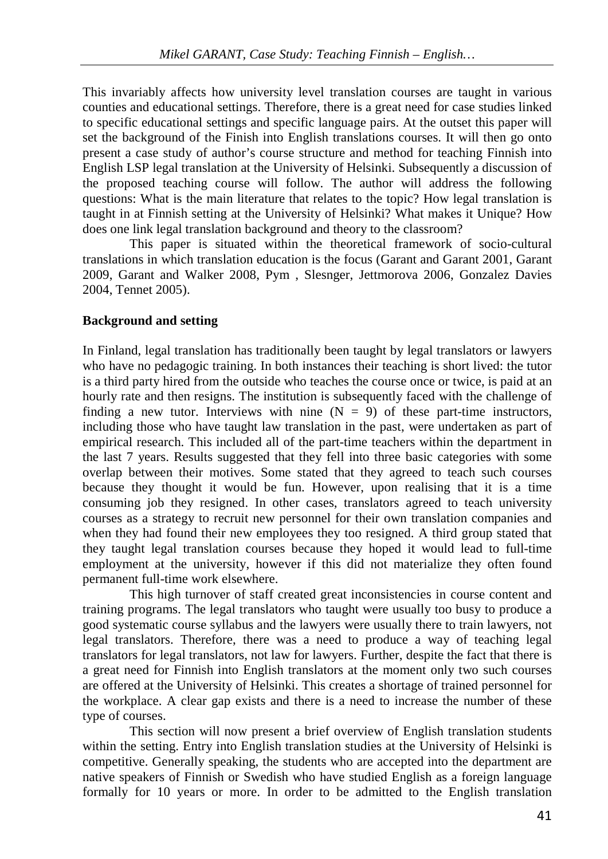This invariably affects how university level translation courses are taught in various counties and educational settings. Therefore, there is a great need for case studies linked to specific educational settings and specific language pairs. At the outset this paper will set the background of the Finish into English translations courses. It will then go onto present a case study of author's course structure and method for teaching Finnish into English LSP legal translation at the University of Helsinki. Subsequently a discussion of the proposed teaching course will follow. The author will address the following questions: What is the main literature that relates to the topic? How legal translation is taught in at Finnish setting at the University of Helsinki? What makes it Unique? How does one link legal translation background and theory to the classroom?

This paper is situated within the theoretical framework of socio-cultural translations in which translation education is the focus (Garant and Garant 2001, Garant 2009, Garant and Walker 2008, Pym , Slesnger, Jettmorova 2006, Gonzalez Davies 2004, Tennet 2005).

# **Background and setting**

In Finland, legal translation has traditionally been taught by legal translators or lawyers who have no pedagogic training. In both instances their teaching is short lived: the tutor is a third party hired from the outside who teaches the course once or twice, is paid at an hourly rate and then resigns. The institution is subsequently faced with the challenge of finding a new tutor. Interviews with nine  $(N = 9)$  of these part-time instructors, including those who have taught law translation in the past, were undertaken as part of empirical research. This included all of the part-time teachers within the department in the last 7 years. Results suggested that they fell into three basic categories with some overlap between their motives. Some stated that they agreed to teach such courses because they thought it would be fun. However, upon realising that it is a time consuming job they resigned. In other cases, translators agreed to teach university courses as a strategy to recruit new personnel for their own translation companies and when they had found their new employees they too resigned. A third group stated that they taught legal translation courses because they hoped it would lead to full-time employment at the university, however if this did not materialize they often found permanent full-time work elsewhere.

This high turnover of staff created great inconsistencies in course content and training programs. The legal translators who taught were usually too busy to produce a good systematic course syllabus and the lawyers were usually there to train lawyers, not legal translators. Therefore, there was a need to produce a way of teaching legal translators for legal translators, not law for lawyers. Further, despite the fact that there is a great need for Finnish into English translators at the moment only two such courses are offered at the University of Helsinki. This creates a shortage of trained personnel for the workplace. A clear gap exists and there is a need to increase the number of these type of courses.

This section will now present a brief overview of English translation students within the setting. Entry into English translation studies at the University of Helsinki is competitive. Generally speaking, the students who are accepted into the department are native speakers of Finnish or Swedish who have studied English as a foreign language formally for 10 years or more. In order to be admitted to the English translation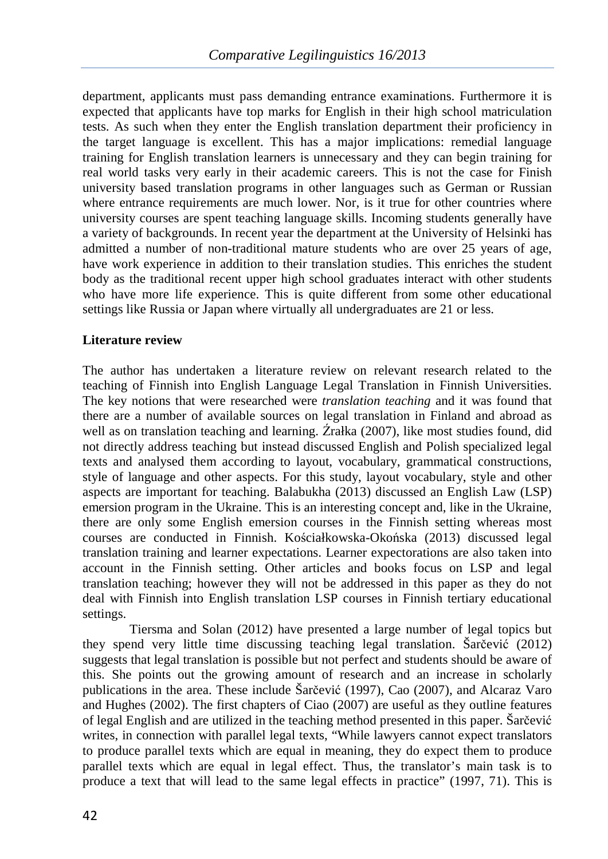department, applicants must pass demanding entrance examinations. Furthermore it is expected that applicants have top marks for English in their high school matriculation tests. As such when they enter the English translation department their proficiency in the target language is excellent. This has a major implications: remedial language training for English translation learners is unnecessary and they can begin training for real world tasks very early in their academic careers. This is not the case for Finish university based translation programs in other languages such as German or Russian where entrance requirements are much lower. Nor, is it true for other countries where university courses are spent teaching language skills. Incoming students generally have a variety of backgrounds. In recent year the department at the University of Helsinki has admitted a number of non-traditional mature students who are over 25 years of age, have work experience in addition to their translation studies. This enriches the student body as the traditional recent upper high school graduates interact with other students who have more life experience. This is quite different from some other educational settings like Russia or Japan where virtually all undergraduates are 21 or less.

# **Literature review**

The author has undertaken a literature review on relevant research related to the teaching of Finnish into English Language Legal Translation in Finnish Universities. The key notions that were researched were *translation teaching* and it was found that there are a number of available sources on legal translation in Finland and abroad as well as on translation teaching and learning. Źrałka (2007), like most studies found, did not directly address teaching but instead discussed English and Polish specialized legal texts and analysed them according to layout, vocabulary, grammatical constructions, style of language and other aspects. For this study, layout vocabulary, style and other aspects are important for teaching. Balabukha (2013) discussed an English Law (LSP) emersion program in the Ukraine. This is an interesting concept and, like in the Ukraine, there are only some English emersion courses in the Finnish setting whereas most courses are conducted in Finnish. Kościałkowska-Okońska (2013) discussed legal translation training and learner expectations. Learner expectorations are also taken into account in the Finnish setting. Other articles and books focus on LSP and legal translation teaching; however they will not be addressed in this paper as they do not deal with Finnish into English translation LSP courses in Finnish tertiary educational settings.

Tiersma and Solan (2012) have presented a large number of legal topics but they spend very little time discussing teaching legal translation. Šarčević (2012) suggests that legal translation is possible but not perfect and students should be aware of this. She points out the growing amount of research and an increase in scholarly publications in the area. These include Šarčević (1997), Cao (2007), and Alcaraz Varo and Hughes (2002). The first chapters of Ciao (2007) are useful as they outline features of legal English and are utilized in the teaching method presented in this paper. Šarčević writes, in connection with parallel legal texts, "While lawyers cannot expect translators to produce parallel texts which are equal in meaning, they do expect them to produce parallel texts which are equal in legal effect. Thus, the translator's main task is to produce a text that will lead to the same legal effects in practice" (1997, 71). This is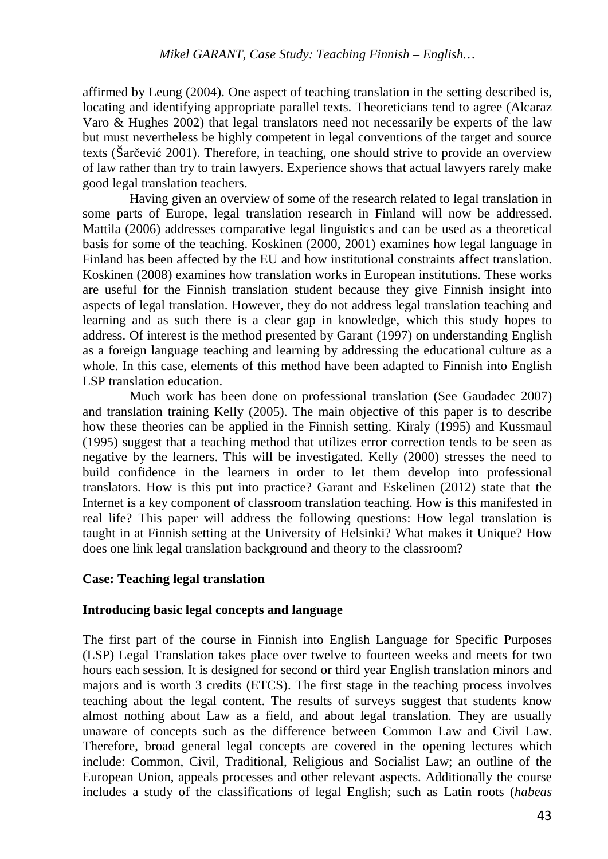affirmed by Leung (2004). One aspect of teaching translation in the setting described is, locating and identifying appropriate parallel texts. Theoreticians tend to agree (Alcaraz Varo & Hughes 2002) that legal translators need not necessarily be experts of the law but must nevertheless be highly competent in legal conventions of the target and source texts (Šarčević 2001). Therefore, in teaching, one should strive to provide an overview of law rather than try to train lawyers. Experience shows that actual lawyers rarely make good legal translation teachers.

Having given an overview of some of the research related to legal translation in some parts of Europe, legal translation research in Finland will now be addressed. Mattila (2006) addresses comparative legal linguistics and can be used as a theoretical basis for some of the teaching. Koskinen (2000, 2001) examines how legal language in Finland has been affected by the EU and how institutional constraints affect translation. Koskinen (2008) examines how translation works in European institutions. These works are useful for the Finnish translation student because they give Finnish insight into aspects of legal translation. However, they do not address legal translation teaching and learning and as such there is a clear gap in knowledge, which this study hopes to address. Of interest is the method presented by Garant (1997) on understanding English as a foreign language teaching and learning by addressing the educational culture as a whole. In this case, elements of this method have been adapted to Finnish into English LSP translation education.

Much work has been done on professional translation (See Gaudadec 2007) and translation training Kelly (2005). The main objective of this paper is to describe how these theories can be applied in the Finnish setting. Kiraly (1995) and Kussmaul (1995) suggest that a teaching method that utilizes error correction tends to be seen as negative by the learners. This will be investigated. Kelly (2000) stresses the need to build confidence in the learners in order to let them develop into professional translators. How is this put into practice? Garant and Eskelinen (2012) state that the Internet is a key component of classroom translation teaching. How is this manifested in real life? This paper will address the following questions: How legal translation is taught in at Finnish setting at the University of Helsinki? What makes it Unique? How does one link legal translation background and theory to the classroom?

## **Case: Teaching legal translation**

## **Introducing basic legal concepts and language**

The first part of the course in Finnish into English Language for Specific Purposes (LSP) Legal Translation takes place over twelve to fourteen weeks and meets for two hours each session. It is designed for second or third year English translation minors and majors and is worth 3 credits (ETCS). The first stage in the teaching process involves teaching about the legal content. The results of surveys suggest that students know almost nothing about Law as a field, and about legal translation. They are usually unaware of concepts such as the difference between Common Law and Civil Law. Therefore, broad general legal concepts are covered in the opening lectures which include: Common, Civil, Traditional, Religious and Socialist Law; an outline of the European Union, appeals processes and other relevant aspects. Additionally the course includes a study of the classifications of legal English; such as Latin roots (*habeas*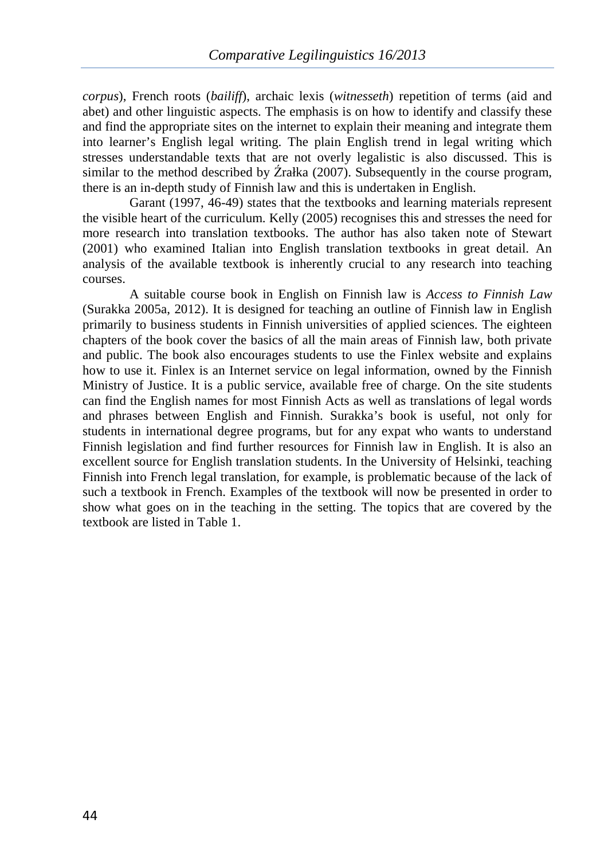*corpus*), French roots (*bailiff*), archaic lexis (*witnesseth*) repetition of terms (aid and abet) and other linguistic aspects. The emphasis is on how to identify and classify these and find the appropriate sites on the internet to explain their meaning and integrate them into learner's English legal writing. The plain English trend in legal writing which stresses understandable texts that are not overly legalistic is also discussed. This is similar to the method described by Źrałka (2007). Subsequently in the course program, there is an in-depth study of Finnish law and this is undertaken in English.

Garant (1997, 46-49) states that the textbooks and learning materials represent the visible heart of the curriculum. Kelly (2005) recognises this and stresses the need for more research into translation textbooks. The author has also taken note of Stewart (2001) who examined Italian into English translation textbooks in great detail. An analysis of the available textbook is inherently crucial to any research into teaching courses.

A suitable course book in English on Finnish law is *Access to Finnish Law* (Surakka 2005a, 2012). It is designed for teaching an outline of Finnish law in English primarily to business students in Finnish universities of applied sciences. The eighteen chapters of the book cover the basics of all the main areas of Finnish law, both private and public. The book also encourages students to use the Finlex website and explains how to use it. Finlex is an Internet service on legal information, owned by the Finnish Ministry of Justice. It is a public service, available free of charge. On the site students can find the English names for most Finnish Acts as well as translations of legal words and phrases between English and Finnish. Surakka's book is useful, not only for students in international degree programs, but for any expat who wants to understand Finnish legislation and find further resources for Finnish law in English. It is also an excellent source for English translation students. In the University of Helsinki, teaching Finnish into French legal translation, for example, is problematic because of the lack of such a textbook in French. Examples of the textbook will now be presented in order to show what goes on in the teaching in the setting. The topics that are covered by the textbook are listed in Table 1.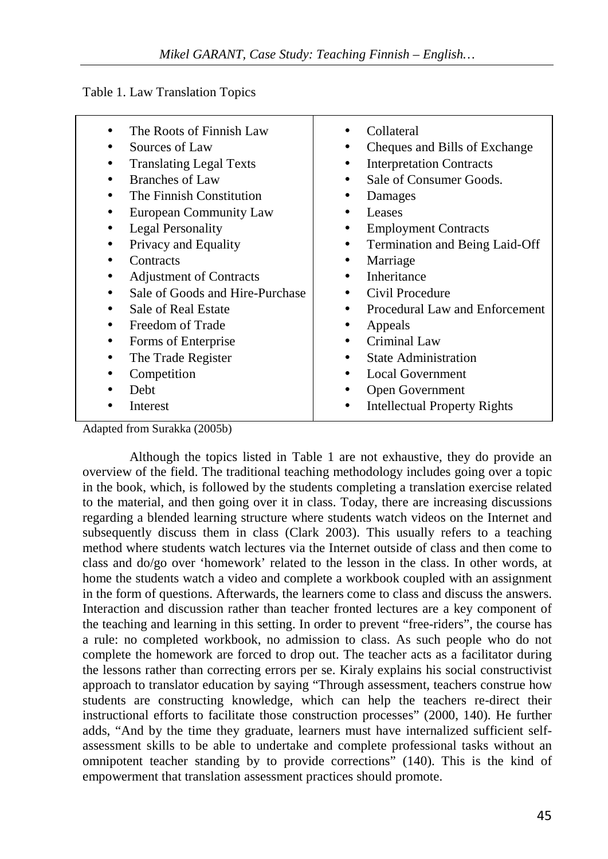Table 1. Law Translation Topics

| The Roots of Finnish Law<br>Sources of Law<br><b>Translating Legal Texts</b><br>Branches of Law<br>The Finnish Constitution<br>European Community Law<br>Legal Personality<br>Privacy and Equality<br>Contracts<br><b>Adjustment of Contracts</b><br>Sale of Goods and Hire-Purchase<br>Sale of Real Estate<br>Freedom of Trade<br>Forms of Enterprise | Collateral<br>Cheques and Bills of Exchange<br><b>Interpretation Contracts</b><br>Sale of Consumer Goods.<br>Damages<br>Leases<br><b>Employment Contracts</b><br>Termination and Being Laid-Off<br>Marriage<br>٠<br>Inheritance<br>Civil Procedure<br>Procedural Law and Enforcement<br>Appeals<br>Criminal Law<br>$\bullet$ |
|--------------------------------------------------------------------------------------------------------------------------------------------------------------------------------------------------------------------------------------------------------------------------------------------------------------------------------------------------------|------------------------------------------------------------------------------------------------------------------------------------------------------------------------------------------------------------------------------------------------------------------------------------------------------------------------------|
| The Trade Register                                                                                                                                                                                                                                                                                                                                     | <b>State Administration</b><br>$\bullet$                                                                                                                                                                                                                                                                                     |
| Competition                                                                                                                                                                                                                                                                                                                                            | <b>Local Government</b>                                                                                                                                                                                                                                                                                                      |
| Debt                                                                                                                                                                                                                                                                                                                                                   | Open Government                                                                                                                                                                                                                                                                                                              |
|                                                                                                                                                                                                                                                                                                                                                        |                                                                                                                                                                                                                                                                                                                              |
| Interest                                                                                                                                                                                                                                                                                                                                               | <b>Intellectual Property Rights</b>                                                                                                                                                                                                                                                                                          |

Adapted from Surakka (2005b)

Although the topics listed in Table 1 are not exhaustive, they do provide an overview of the field. The traditional teaching methodology includes going over a topic in the book, which, is followed by the students completing a translation exercise related to the material, and then going over it in class. Today, there are increasing discussions regarding a blended learning structure where students watch videos on the Internet and subsequently discuss them in class (Clark 2003). This usually refers to a teaching method where students watch lectures via the Internet outside of class and then come to class and do/go over 'homework' related to the lesson in the class. In other words, at home the students watch a video and complete a workbook coupled with an assignment in the form of questions. Afterwards, the learners come to class and discuss the answers. Interaction and discussion rather than teacher fronted lectures are a key component of the teaching and learning in this setting. In order to prevent "free-riders", the course has a rule: no completed workbook, no admission to class. As such people who do not complete the homework are forced to drop out. The teacher acts as a facilitator during the lessons rather than correcting errors per se. Kiraly explains his social constructivist approach to translator education by saying "Through assessment, teachers construe how students are constructing knowledge, which can help the teachers re-direct their instructional efforts to facilitate those construction processes" (2000, 140). He further adds, "And by the time they graduate, learners must have internalized sufficient selfassessment skills to be able to undertake and complete professional tasks without an omnipotent teacher standing by to provide corrections" (140). This is the kind of empowerment that translation assessment practices should promote.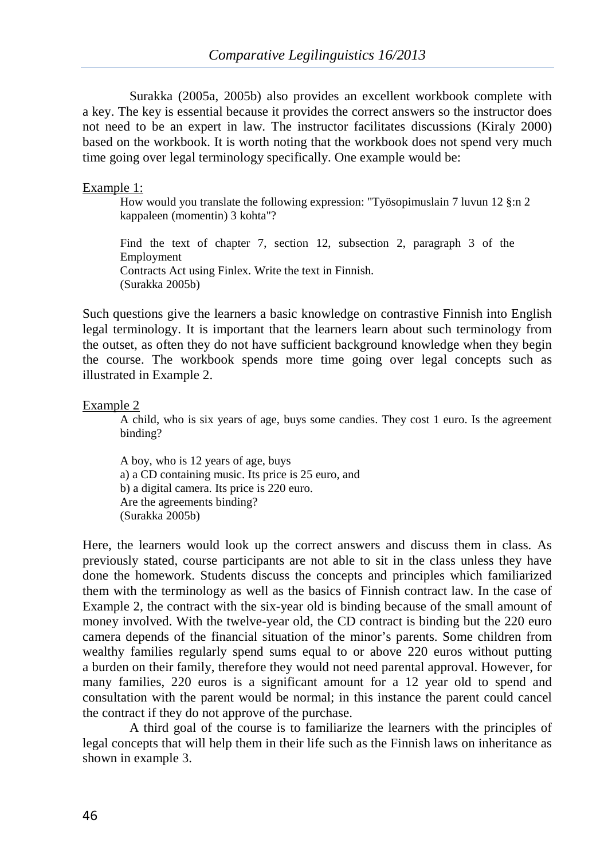Surakka (2005a, 2005b) also provides an excellent workbook complete with a key. The key is essential because it provides the correct answers so the instructor does not need to be an expert in law. The instructor facilitates discussions (Kiraly 2000) based on the workbook. It is worth noting that the workbook does not spend very much time going over legal terminology specifically. One example would be:

#### Example 1:

How would you translate the following expression: "Työsopimuslain 7 luvun 12 §:n 2 kappaleen (momentin) 3 kohta"?

Find the text of chapter 7, section 12, subsection 2, paragraph 3 of the Employment Contracts Act using Finlex. Write the text in Finnish. (Surakka 2005b)

Such questions give the learners a basic knowledge on contrastive Finnish into English legal terminology. It is important that the learners learn about such terminology from the outset, as often they do not have sufficient background knowledge when they begin the course. The workbook spends more time going over legal concepts such as illustrated in Example 2.

#### Example 2

A child, who is six years of age, buys some candies. They cost 1 euro. Is the agreement binding?

A boy, who is 12 years of age, buys a) a CD containing music. Its price is 25 euro, and b) a digital camera. Its price is 220 euro. Are the agreements binding? (Surakka 2005b)

Here, the learners would look up the correct answers and discuss them in class. As previously stated, course participants are not able to sit in the class unless they have done the homework. Students discuss the concepts and principles which familiarized them with the terminology as well as the basics of Finnish contract law. In the case of Example 2, the contract with the six-year old is binding because of the small amount of money involved. With the twelve-year old, the CD contract is binding but the 220 euro camera depends of the financial situation of the minor's parents. Some children from wealthy families regularly spend sums equal to or above 220 euros without putting a burden on their family, therefore they would not need parental approval. However, for many families, 220 euros is a significant amount for a 12 year old to spend and consultation with the parent would be normal; in this instance the parent could cancel the contract if they do not approve of the purchase.

A third goal of the course is to familiarize the learners with the principles of legal concepts that will help them in their life such as the Finnish laws on inheritance as shown in example 3.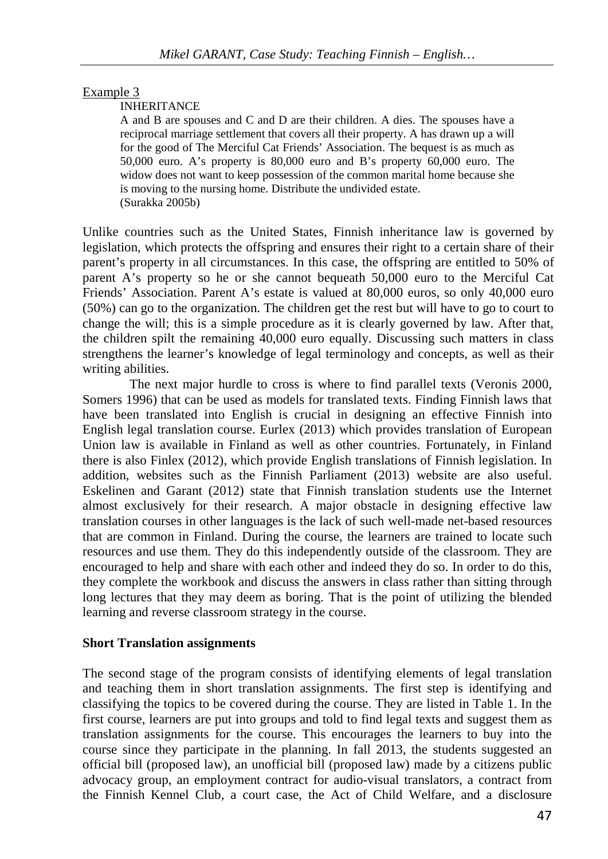## Example 3

#### INHERITANCE

A and B are spouses and C and D are their children. A dies. The spouses have a reciprocal marriage settlement that covers all their property. A has drawn up a will for the good of The Merciful Cat Friends' Association. The bequest is as much as 50,000 euro. A's property is 80,000 euro and B's property 60,000 euro. The widow does not want to keep possession of the common marital home because she is moving to the nursing home. Distribute the undivided estate. (Surakka 2005b)

Unlike countries such as the United States, Finnish inheritance law is governed by legislation, which protects the offspring and ensures their right to a certain share of their parent's property in all circumstances. In this case, the offspring are entitled to 50% of parent A's property so he or she cannot bequeath 50,000 euro to the Merciful Cat Friends' Association. Parent A's estate is valued at 80,000 euros, so only 40,000 euro (50%) can go to the organization. The children get the rest but will have to go to court to change the will; this is a simple procedure as it is clearly governed by law. After that, the children spilt the remaining 40,000 euro equally. Discussing such matters in class strengthens the learner's knowledge of legal terminology and concepts, as well as their writing abilities.

The next major hurdle to cross is where to find parallel texts (Veronis 2000, Somers 1996) that can be used as models for translated texts. Finding Finnish laws that have been translated into English is crucial in designing an effective Finnish into English legal translation course. Eurlex (2013) which provides translation of European Union law is available in Finland as well as other countries. Fortunately, in Finland there is also Finlex (2012), which provide English translations of Finnish legislation. In addition, websites such as the Finnish Parliament (2013) website are also useful. Eskelinen and Garant (2012) state that Finnish translation students use the Internet almost exclusively for their research. A major obstacle in designing effective law translation courses in other languages is the lack of such well-made net-based resources that are common in Finland. During the course, the learners are trained to locate such resources and use them. They do this independently outside of the classroom. They are encouraged to help and share with each other and indeed they do so. In order to do this, they complete the workbook and discuss the answers in class rather than sitting through long lectures that they may deem as boring. That is the point of utilizing the blended learning and reverse classroom strategy in the course.

#### **Short Translation assignments**

The second stage of the program consists of identifying elements of legal translation and teaching them in short translation assignments. The first step is identifying and classifying the topics to be covered during the course. They are listed in Table 1. In the first course, learners are put into groups and told to find legal texts and suggest them as translation assignments for the course. This encourages the learners to buy into the course since they participate in the planning. In fall 2013, the students suggested an official bill (proposed law), an unofficial bill (proposed law) made by a citizens public advocacy group, an employment contract for audio-visual translators, a contract from the Finnish Kennel Club, a court case, the Act of Child Welfare, and a disclosure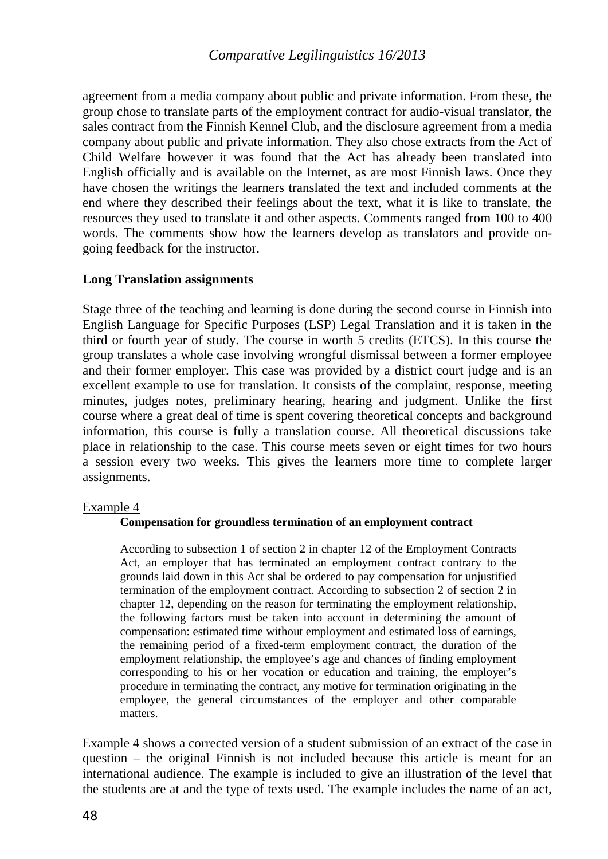agreement from a media company about public and private information. From these, the group chose to translate parts of the employment contract for audio-visual translator, the sales contract from the Finnish Kennel Club, and the disclosure agreement from a media company about public and private information. They also chose extracts from the Act of Child Welfare however it was found that the Act has already been translated into English officially and is available on the Internet, as are most Finnish laws. Once they have chosen the writings the learners translated the text and included comments at the end where they described their feelings about the text, what it is like to translate, the resources they used to translate it and other aspects. Comments ranged from 100 to 400 words. The comments show how the learners develop as translators and provide ongoing feedback for the instructor.

# **Long Translation assignments**

Stage three of the teaching and learning is done during the second course in Finnish into English Language for Specific Purposes (LSP) Legal Translation and it is taken in the third or fourth year of study. The course in worth 5 credits (ETCS). In this course the group translates a whole case involving wrongful dismissal between a former employee and their former employer. This case was provided by a district court judge and is an excellent example to use for translation. It consists of the complaint, response, meeting minutes, judges notes, preliminary hearing, hearing and judgment. Unlike the first course where a great deal of time is spent covering theoretical concepts and background information, this course is fully a translation course. All theoretical discussions take place in relationship to the case. This course meets seven or eight times for two hours a session every two weeks. This gives the learners more time to complete larger assignments.

## Example 4

## **Compensation for groundless termination of an employment contract**

According to subsection 1 of section 2 in chapter 12 of the Employment Contracts Act, an employer that has terminated an employment contract contrary to the grounds laid down in this Act shal be ordered to pay compensation for unjustified termination of the employment contract. According to subsection 2 of section 2 in chapter 12, depending on the reason for terminating the employment relationship, the following factors must be taken into account in determining the amount of compensation: estimated time without employment and estimated loss of earnings, the remaining period of a fixed-term employment contract, the duration of the employment relationship, the employee's age and chances of finding employment corresponding to his or her vocation or education and training, the employer's procedure in terminating the contract, any motive for termination originating in the employee, the general circumstances of the employer and other comparable matters.

Example 4 shows a corrected version of a student submission of an extract of the case in question – the original Finnish is not included because this article is meant for an international audience. The example is included to give an illustration of the level that the students are at and the type of texts used. The example includes the name of an act,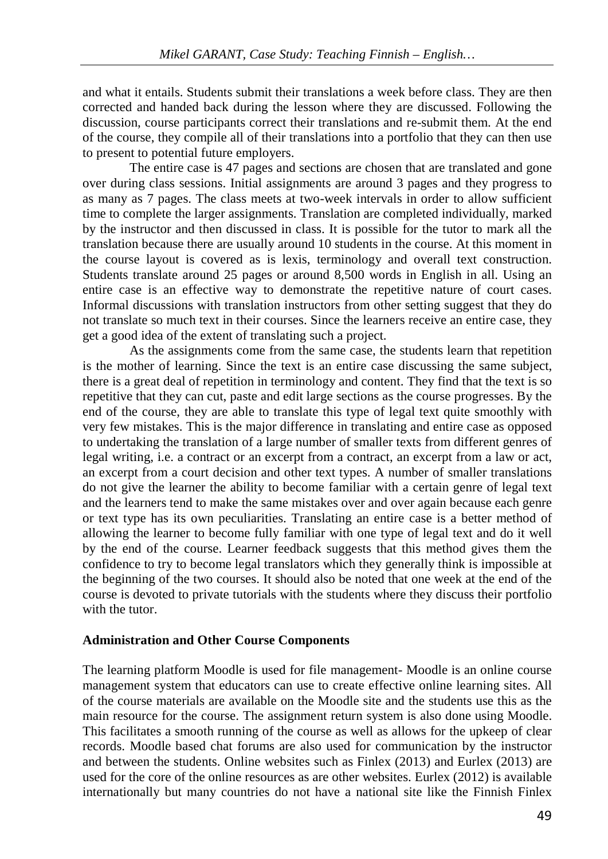and what it entails. Students submit their translations a week before class. They are then corrected and handed back during the lesson where they are discussed. Following the discussion, course participants correct their translations and re-submit them. At the end of the course, they compile all of their translations into a portfolio that they can then use to present to potential future employers.

The entire case is 47 pages and sections are chosen that are translated and gone over during class sessions. Initial assignments are around 3 pages and they progress to as many as 7 pages. The class meets at two-week intervals in order to allow sufficient time to complete the larger assignments. Translation are completed individually, marked by the instructor and then discussed in class. It is possible for the tutor to mark all the translation because there are usually around 10 students in the course. At this moment in the course layout is covered as is lexis, terminology and overall text construction. Students translate around 25 pages or around 8,500 words in English in all. Using an entire case is an effective way to demonstrate the repetitive nature of court cases. Informal discussions with translation instructors from other setting suggest that they do not translate so much text in their courses. Since the learners receive an entire case, they get a good idea of the extent of translating such a project.

As the assignments come from the same case, the students learn that repetition is the mother of learning. Since the text is an entire case discussing the same subject, there is a great deal of repetition in terminology and content. They find that the text is so repetitive that they can cut, paste and edit large sections as the course progresses. By the end of the course, they are able to translate this type of legal text quite smoothly with very few mistakes. This is the major difference in translating and entire case as opposed to undertaking the translation of a large number of smaller texts from different genres of legal writing, i.e. a contract or an excerpt from a contract, an excerpt from a law or act, an excerpt from a court decision and other text types. A number of smaller translations do not give the learner the ability to become familiar with a certain genre of legal text and the learners tend to make the same mistakes over and over again because each genre or text type has its own peculiarities. Translating an entire case is a better method of allowing the learner to become fully familiar with one type of legal text and do it well by the end of the course. Learner feedback suggests that this method gives them the confidence to try to become legal translators which they generally think is impossible at the beginning of the two courses. It should also be noted that one week at the end of the course is devoted to private tutorials with the students where they discuss their portfolio with the tutor.

## **Administration and Other Course Components**

The learning platform Moodle is used for file management- Moodle is an online course management system that educators can use to create effective online learning sites. All of the course materials are available on the Moodle site and the students use this as the main resource for the course. The assignment return system is also done using Moodle. This facilitates a smooth running of the course as well as allows for the upkeep of clear records. Moodle based chat forums are also used for communication by the instructor and between the students. Online websites such as Finlex (2013) and Eurlex (2013) are used for the core of the online resources as are other websites. Eurlex (2012) is available internationally but many countries do not have a national site like the Finnish Finlex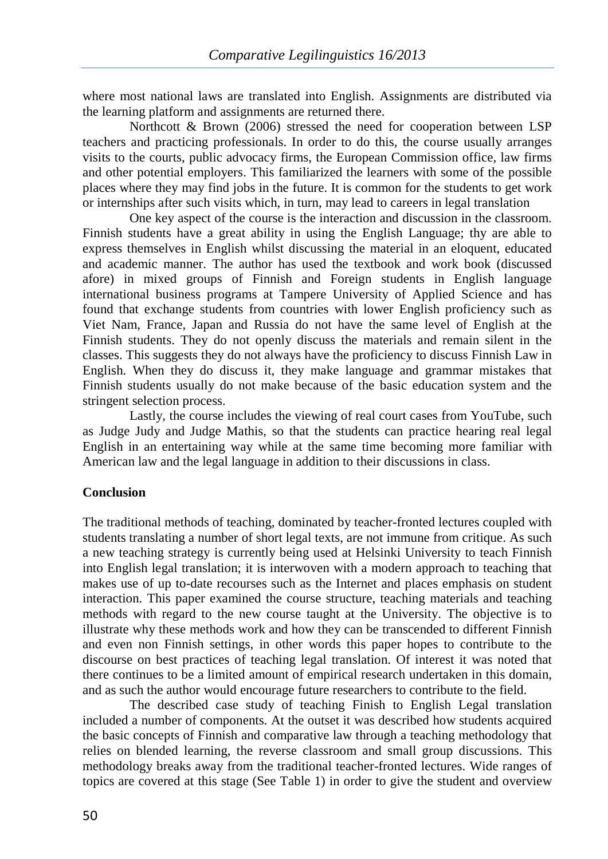where most national laws are translated into English. Assignments are distributed via the learning platform and assignments are returned there.

Northcott & Brown (2006) stressed the need for cooperation between LSP teachers and practicing professionals. In order to do this, the course usually arranges visits to the courts, public advocacy firms, the European Commission office, law firms and other potential employers. This familiarized the learners with some of the possible places where they may find jobs in the future. It is common for the students to get work or internships after such visits which, in turn, may lead to careers in legal translation

One key aspect of the course is the interaction and discussion in the classroom. Finnish students have a great ability in using the English Language; thy are able to express themselves in English whilst discussing the material in an eloquent, educated and academic manner. The author has used the textbook and work book (discussed afore) in mixed groups of Finnish and Foreign students in English language international business programs at Tampere University of Applied Science and has found that exchange students from countries with lower English proficiency such as Viet Nam, France, Japan and Russia do not have the same level of English at the Finnish students. They do not openly discuss the materials and remain silent in the classes. This suggests they do not always have the proficiency to discuss Finnish Law in English. When they do discuss it, they make language and grammar mistakes that Finnish students usually do not make because of the basic education system and the stringent selection process.

Lastly, the course includes the viewing of real court cases from YouTube, such as Judge Judy and Judge Mathis, so that the students can practice hearing real legal English in an entertaining way while at the same time becoming more familiar with American law and the legal language in addition to their discussions in class.

# **Conclusion**

The traditional methods of teaching, dominated by teacher-fronted lectures coupled with students translating a number of short legal texts, are not immune from critique. As such a new teaching strategy is currently being used at Helsinki University to teach Finnish into English legal translation; it is interwoven with a modern approach to teaching that makes use of up to-date recourses such as the Internet and places emphasis on student interaction. This paper examined the course structure, teaching materials and teaching methods with regard to the new course taught at the University. The objective is to illustrate why these methods work and how they can be transcended to different Finnish and even non Finnish settings, in other words this paper hopes to contribute to the discourse on best practices of teaching legal translation. Of interest it was noted that there continues to be a limited amount of empirical research undertaken in this domain, and as such the author would encourage future researchers to contribute to the field.

The described case study of teaching Finish to English Legal translation included a number of components. At the outset it was described how students acquired the basic concepts of Finnish and comparative law through a teaching methodology that relies on blended learning, the reverse classroom and small group discussions. This methodology breaks away from the traditional teacher-fronted lectures. Wide ranges of topics are covered at this stage (See Table 1) in order to give the student and overview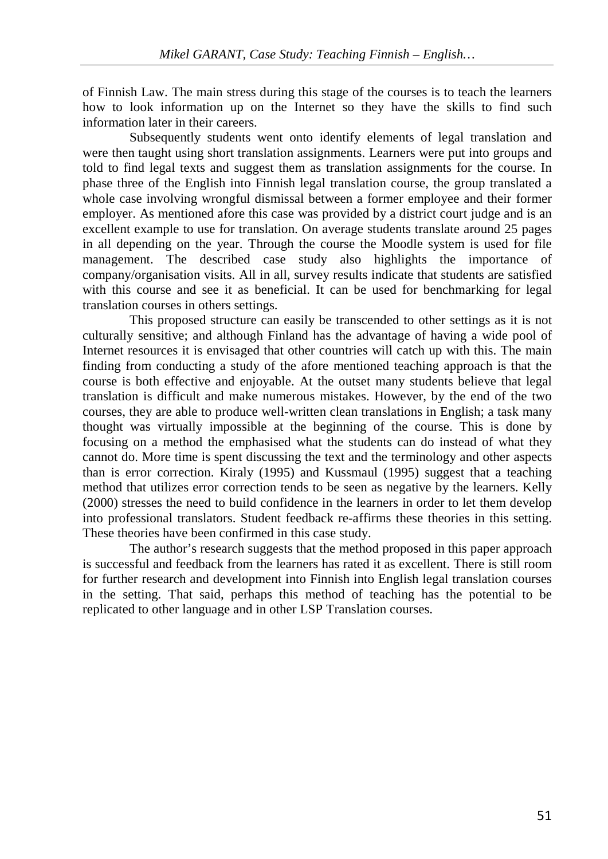of Finnish Law. The main stress during this stage of the courses is to teach the learners how to look information up on the Internet so they have the skills to find such information later in their careers.

Subsequently students went onto identify elements of legal translation and were then taught using short translation assignments. Learners were put into groups and told to find legal texts and suggest them as translation assignments for the course. In phase three of the English into Finnish legal translation course, the group translated a whole case involving wrongful dismissal between a former employee and their former employer. As mentioned afore this case was provided by a district court judge and is an excellent example to use for translation. On average students translate around 25 pages in all depending on the year. Through the course the Moodle system is used for file management. The described case study also highlights the importance of company/organisation visits. All in all, survey results indicate that students are satisfied with this course and see it as beneficial. It can be used for benchmarking for legal translation courses in others settings.

This proposed structure can easily be transcended to other settings as it is not culturally sensitive; and although Finland has the advantage of having a wide pool of Internet resources it is envisaged that other countries will catch up with this. The main finding from conducting a study of the afore mentioned teaching approach is that the course is both effective and enjoyable. At the outset many students believe that legal translation is difficult and make numerous mistakes. However, by the end of the two courses, they are able to produce well-written clean translations in English; a task many thought was virtually impossible at the beginning of the course. This is done by focusing on a method the emphasised what the students can do instead of what they cannot do. More time is spent discussing the text and the terminology and other aspects than is error correction. Kiraly (1995) and Kussmaul (1995) suggest that a teaching method that utilizes error correction tends to be seen as negative by the learners. Kelly (2000) stresses the need to build confidence in the learners in order to let them develop into professional translators. Student feedback re-affirms these theories in this setting. These theories have been confirmed in this case study.

The author's research suggests that the method proposed in this paper approach is successful and feedback from the learners has rated it as excellent. There is still room for further research and development into Finnish into English legal translation courses in the setting. That said, perhaps this method of teaching has the potential to be replicated to other language and in other LSP Translation courses.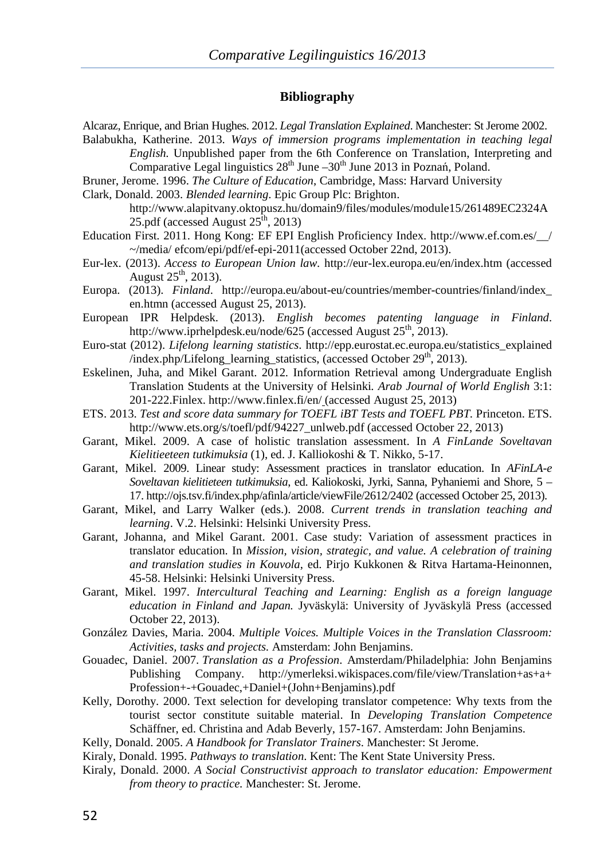#### **Bibliography**

Alcaraz, Enrique, and Brian Hughes. 2012. *Legal Translation Explained*. Manchester: St Jerome 2002.

- Balabukha, Katherine. 2013. *Ways of immersion programs implementation in teaching legal English.* Unpublished paper from the 6th Conference on Translation, Interpreting and Comparative Legal linguistics  $28<sup>th</sup>$  June  $-30<sup>th</sup>$  June 2013 in Poznań, Poland.
- Bruner, Jerome. 1996. *The Culture of Education*, Cambridge, Mass: Harvard University
- Clark, Donald. 2003. *Blended learning*. Epic Group Plc: Brighton.

http://www.alapitvany.oktopusz.hu/domain9/files/modules/module15/261489EC2324A 25.pdf (accessed August 25<sup>th</sup>, 2013)

- Education First. 2011. Hong Kong: EF EPI English Proficiency Index. http://www.ef.com.es/\_\_/ ~/media/ efcom/epi/pdf/ef-epi-2011(accessed October 22nd, 2013).
- Eur-lex. (2013). *Access to European Union law.* http://eur-lex.europa.eu/en/index.htm (accessed August  $25<sup>th</sup>$ , 2013).
- Europa. (2013). *Finland*. http://europa.eu/about-eu/countries/member-countries/finland/index\_ en.htmn (accessed August 25, 2013).
- European IPR Helpdesk. (2013). *English becomes patenting language in Finland*. http://www.iprhelpdesk.eu/node/625 (accessed August  $25<sup>th</sup>$ , 2013).
- Euro-stat (2012). *Lifelong learning statistics*. http://epp.eurostat.ec.europa.eu/statistics\_explained /index.php/Lifelong\_learning\_statistics, (accessed October  $29<sup>th</sup>$ , 2013).
- Eskelinen, Juha, and Mikel Garant. 2012*.* Information Retrieval among Undergraduate English Translation Students at the University of Helsinki*. Arab Journal of World English* 3:1: 201-222.Finlex. http://www.finlex.fi/en/ (accessed August 25, 2013)
- ETS. 2013. *Test and score data summary for TOEFL iBT Tests and TOEFL PBT.* Princeton. ETS. http://www.ets.org/s/toefl/pdf/94227\_unlweb.pdf (accessed October 22, 2013)
- Garant, Mikel. 2009. A case of holistic translation assessment. In *A FinLande Soveltavan Kielitieeteen tutkimuksia* (1), ed. J. Kalliokoshi & T. Nikko, 5-17.
- Garant, Mikel. 2009. Linear study: Assessment practices in translator education. In *AFinLA-e Soveltavan kielitieteen tutkimuksia*, ed. Kaliokoski, Jyrki, Sanna, Pyhaniemi and Shore, 5 – 17. http://ojs.tsv.fi/index.php/afinla/article/viewFile/2612/2402 (accessed October 25, 2013).
- Garant, Mikel, and Larry Walker (eds.). 2008. *Current trends in translation teaching and learning*. V.2. Helsinki: Helsinki University Press.
- Garant, Johanna, and Mikel Garant. 2001. Case study: Variation of assessment practices in translator education. In *Mission, vision, strategic, and value. A celebration of training and translation studies in Kouvola*, ed. Pirjo Kukkonen & Ritva Hartama-Heinonnen, 45-58. Helsinki: Helsinki University Press.
- Garant, Mikel. 1997. *Intercultural Teaching and Learning: English as a foreign language education in Finland and Japan.* Jyväskylä: University of Jyväskylä Press (accessed October 22, 2013).
- González Davies, Maria. 2004. *Multiple Voices. Multiple Voices in the Translation Classroom: Activities, tasks and projects.* Amsterdam: John Benjamins.
- Gouadec, Daniel. 2007. *Translation as a Profession*. Amsterdam/Philadelphia: John Benjamins Publishing Company. http://ymerleksi.wikispaces.com/file/view/Translation+as+a+ Profession+-+Gouadec,+Daniel+(John+Benjamins).pdf
- Kelly, Dorothy. 2000. Text selection for developing translator competence: Why texts from the tourist sector constitute suitable material. In *Developing Translation Competence*  Schäffner, ed. Christina and Adab Beverly, 157-167. Amsterdam: John Benjamins.
- Kelly, Donald. 2005. *A Handbook for Translator Trainers*. Manchester: St Jerome.
- Kiraly, Donald. 1995. *Pathways to translation*. Kent: The Kent State University Press.
- Kiraly, Donald. 2000. *A Social Constructivist approach to translator education: Empowerment from theory to practice.* Manchester: St. Jerome.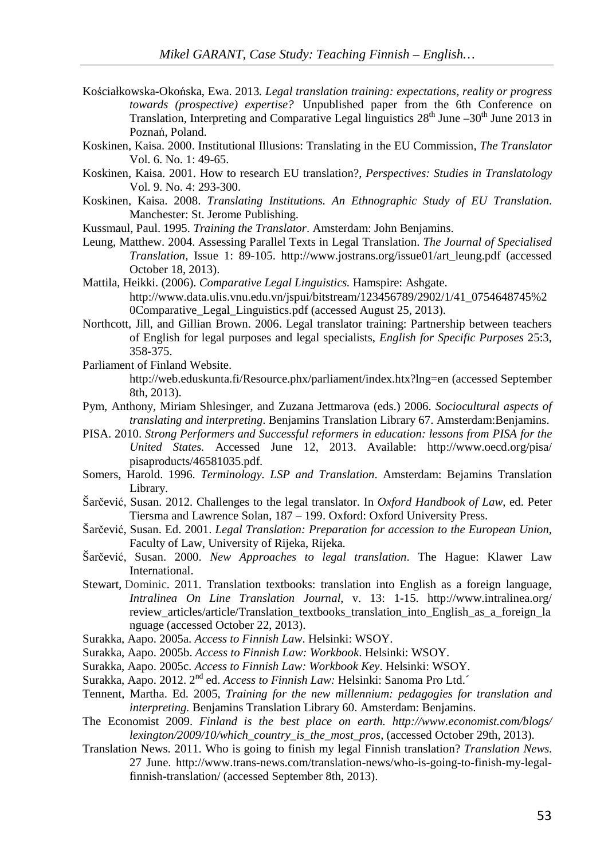- Kościałkowska-Okońska, Ewa. 2013*. Legal translation training: expectations, reality or progress towards (prospective) expertise?* Unpublished paper from the 6th Conference on Translation, Interpreting and Comparative Legal linguistics  $28<sup>th</sup>$  June  $-30<sup>th</sup>$  June 2013 in Poznań, Poland.
- Koskinen, Kaisa. 2000. Institutional Illusions: Translating in the EU Commission, *The Translator* Vol. 6. No. 1: 49-65.
- Koskinen, Kaisa. 2001. How to research EU translation?, *Perspectives: Studies in Translatology*  Vol. 9. No. 4: 293-300.
- Koskinen, Kaisa. 2008. *Translating Institutions. An Ethnographic Study of EU Translation*. Manchester: St. Jerome Publishing.
- Kussmaul, Paul. 1995. *Training the Translator*. Amsterdam: John Benjamins.
- Leung, Matthew. 2004. Assessing Parallel Texts in Legal Translation. *The Journal of Specialised Translation,* Issue 1: 89-105. http://www.jostrans.org/issue01/art\_leung.pdf (accessed October 18, 2013).
- Mattila, Heikki. (2006). *Comparative Legal Linguistics.* Hamspire: Ashgate. http://www.data.ulis.vnu.edu.vn/jspui/bitstream/123456789/2902/1/41\_0754648745%2 0Comparative\_Legal\_Linguistics.pdf (accessed August 25, 2013).
- Northcott, Jill, and Gillian Brown. 2006. Legal translator training: Partnership between teachers of English for legal purposes and legal specialists, *English for Specific Purposes* 25:3, 358-375.
- Parliament of Finland Website. http://web.eduskunta.fi/Resource.phx/parliament/index.htx?lng=en (accessed September 8th, 2013).
- Pym, Anthony, Miriam Shlesinger, and Zuzana Jettmarova (eds.) 2006. *Sociocultural aspects of translating and interpreting*. Benjamins Translation Library 67. Amsterdam:Benjamins.
- PISA. 2010. *Strong Performers and Successful reformers in education: lessons from PISA for the United States.* Accessed June 12, 2013. Available: http://www.oecd.org/pisa/ pisaproducts/46581035.pdf.
- Somers, Harold. 1996. *Terminology. LSP and Translation*. Amsterdam: Bejamins Translation Library.
- Šarčević, Susan. 2012. Challenges to the legal translator. In *Oxford Handbook of Law*, ed. Peter Tiersma and Lawrence Solan, 187 – 199. Oxford: Oxford University Press.
- Šarčević, Susan. Ed. 2001. *Legal Translation: Preparation for accession to the European Union,*  Faculty of Law, University of Rijeka, Rijeka.
- Šarčević, Susan. 2000. *New Approaches to legal translation*. The Hague: Klawer Law **International**
- Stewart, Dominic. 2011. Translation textbooks: translation into English as a foreign language, *Intralinea On Line Translation Journal*, v. 13: 1-15. http://www.intralinea.org/ review\_articles/article/Translation\_textbooks\_translation\_into\_English\_as\_a\_foreign\_la nguage (accessed October 22, 2013).
- Surakka, Aapo. 2005a. *Access to Finnish Law*. Helsinki: WSOY.
- Surakka, Aapo. 2005b. *Access to Finnish Law: Workbook*. Helsinki: WSOY.
- Surakka, Aapo. 2005c. *Access to Finnish Law: Workbook Key*. Helsinki: WSOY.
- Surakka, Aapo. 2012. 2nd ed. *Access to Finnish Law:* Helsinki: Sanoma Pro Ltd.´
- Tennent, Martha. Ed. 2005, *Training for the new millennium: pedagogies for translation and interpreting.* Benjamins Translation Library 60. Amsterdam: Benjamins.
- The Economist 2009. *Finland is the best place on earth. http://www.economist.com/blogs/ lexington/2009/10/which\_country\_is\_the\_most\_pros,* (accessed October 29th, 2013).
- Translation News. 2011. Who is going to finish my legal Finnish translation? *Translation News*. 27 June. http://www.trans-news.com/translation-news/who-is-going-to-finish-my-legalfinnish-translation/ (accessed September 8th, 2013).